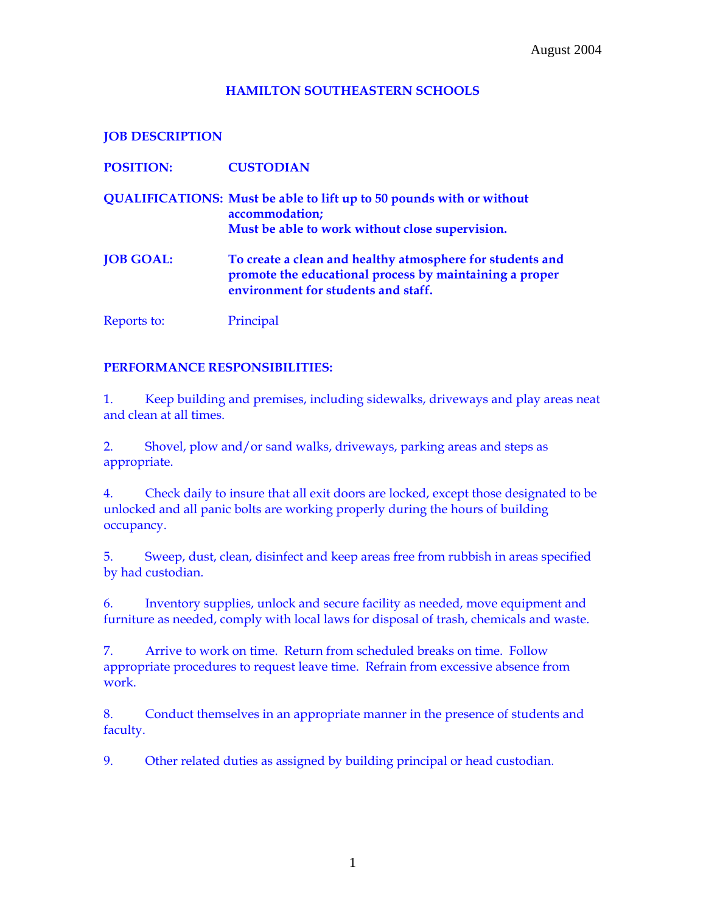## **HAMILTON SOUTHEASTERN SCHOOLS**

**JOB DESCRIPTION** 

| <b>POSITION:</b> | <b>CUSTODIAN</b>                                                                                                                                            |
|------------------|-------------------------------------------------------------------------------------------------------------------------------------------------------------|
|                  | <b>QUALIFICATIONS: Must be able to lift up to 50 pounds with or without</b><br>accommodation;                                                               |
|                  | Must be able to work without close supervision.                                                                                                             |
| <b>JOB GOAL:</b> | To create a clean and healthy atmosphere for students and<br>promote the educational process by maintaining a proper<br>environment for students and staff. |
| Reports to:      | Principal                                                                                                                                                   |

## **PERFORMANCE RESPONSIBILITIES:**

1. Keep building and premises, including sidewalks, driveways and play areas neat and clean at all times.

2. Shovel, plow and/or sand walks, driveways, parking areas and steps as appropriate.

4. Check daily to insure that all exit doors are locked, except those designated to be unlocked and all panic bolts are working properly during the hours of building occupancy.

5. Sweep, dust, clean, disinfect and keep areas free from rubbish in areas specified by had custodian.

6. Inventory supplies, unlock and secure facility as needed, move equipment and furniture as needed, comply with local laws for disposal of trash, chemicals and waste.

7. Arrive to work on time. Return from scheduled breaks on time. Follow appropriate procedures to request leave time. Refrain from excessive absence from work.

8. Conduct themselves in an appropriate manner in the presence of students and faculty.

9. Other related duties as assigned by building principal or head custodian.